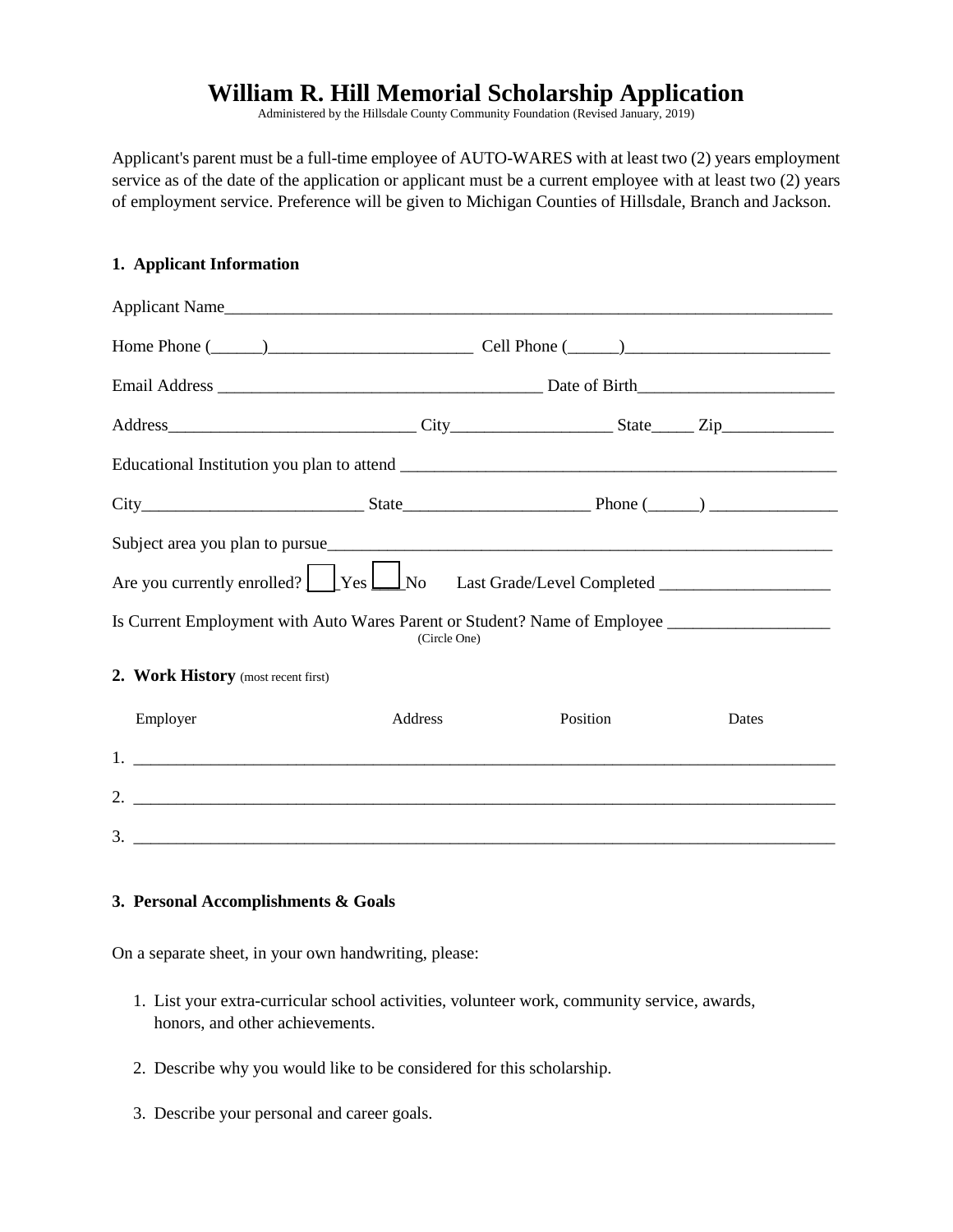## **William R. Hill Memorial Scholarship Application**

Administered by the Hillsdale County Community Foundation (Revised January, 2019)

Applicant's parent must be a full-time employee of AUTO-WARES with at least two (2) years employment service as of the date of the application or applicant must be a current employee with at least two (2) years of employment service. Preference will be given to Michigan Counties of Hillsdale, Branch and Jackson.

## **1. Applicant Information**

| Applicant Name                                                                                                                                                                                                                                                                                                                                                                                   |         |          |       |  |  |
|--------------------------------------------------------------------------------------------------------------------------------------------------------------------------------------------------------------------------------------------------------------------------------------------------------------------------------------------------------------------------------------------------|---------|----------|-------|--|--|
| Home Phone $(\_\_\_\_\_)$                                                                                                                                                                                                                                                                                                                                                                        |         |          |       |  |  |
|                                                                                                                                                                                                                                                                                                                                                                                                  |         |          |       |  |  |
|                                                                                                                                                                                                                                                                                                                                                                                                  |         |          |       |  |  |
|                                                                                                                                                                                                                                                                                                                                                                                                  |         |          |       |  |  |
|                                                                                                                                                                                                                                                                                                                                                                                                  |         |          |       |  |  |
|                                                                                                                                                                                                                                                                                                                                                                                                  |         |          |       |  |  |
| Are you currently enrolled? $\sqrt{\frac{1}{1-\frac{1}{1-\frac{1}{1-\frac{1}{1-\frac{1}{1-\frac{1}{1-\frac{1}{1-\frac{1}{1-\frac{1}{1-\frac{1}{1-\frac{1}{1-\frac{1}{1-\frac{1}{1-\frac{1}{1-\frac{1}{1-\frac{1}{1-\frac{1}{1-\frac{1}{1-\frac{1}{1-\frac{1}{1-\frac{1}{1-\frac{1}{1-\frac{1}{1-\frac{1}{1-\frac{1}{1-\frac{1}{1-\frac{1}{1-\frac{1}{1-\frac{1}{1-\frac{1}{1-\frac{1}{1-\frac{1$ |         |          |       |  |  |
| Is Current Employment with Auto Wares Parent or Student? Name of Employee _________________________<br>(Circle One)                                                                                                                                                                                                                                                                              |         |          |       |  |  |
| 2. Work History (most recent first)                                                                                                                                                                                                                                                                                                                                                              |         |          |       |  |  |
| Employer                                                                                                                                                                                                                                                                                                                                                                                         | Address | Position | Dates |  |  |
|                                                                                                                                                                                                                                                                                                                                                                                                  |         |          |       |  |  |
|                                                                                                                                                                                                                                                                                                                                                                                                  |         |          |       |  |  |
|                                                                                                                                                                                                                                                                                                                                                                                                  |         |          |       |  |  |

## **3. Personal Accomplishments & Goals**

On a separate sheet, in your own handwriting, please:

- 1. List your extra-curricular school activities, volunteer work, community service, awards, honors, and other achievements.
- 2. Describe why you would like to be considered for this scholarship.
- 3. Describe your personal and career goals.